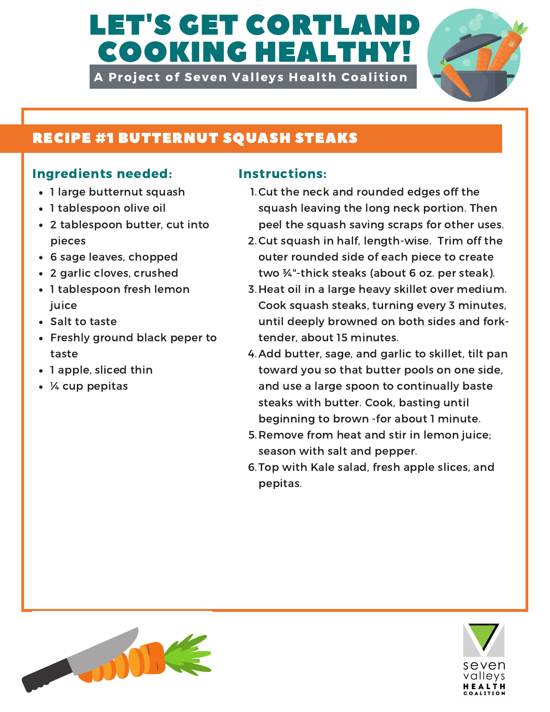# LET'S GET CORTLAND COOKING HEALTHY!

A Project of Seven Valleys Health Coalition



# RECIPE #1 BUTTERNUT SQUASH STEAKS

## Ingredients needed: Instructions:

- 1 large butternut squash
- 1 tablespoon olive oil
- 2 tablespoon butter, cut into pieces
- 6 sage leaves, chopped
- 2 garlic cloves, crushed
- 1 tablespoon fresh lemon juice
- Salt to taste
- Freshly ground black peper to taste
- 1 apple, sliced thin
- ¼ cup pepitas

- 1. Cut the neck and rounded edges off the squash leaving the long neck portion. Then peel the squash saving scraps for other uses.
- 2. Cut squash in half, length-wise. Trim off the outer rounded side of each piece to create two ¾"-thick steaks (about 6 oz. per steak).
- 3. Heat oil in a large heavy skillet over medium. Cook squash steaks, turning every 3 minutes, until deeply browned on both sides and forktender, about 15 minutes.
- 4. Add butter, sage, and garlic to skillet, tilt pan toward you so that butter pools on one side, and use a large spoon to continually baste steaks with butter. Cook, basting until beginning to brown -for about 1 minute.
- 5. Remove from heat and stir in lemon juice; season with salt and pepper.
- 6. Top with Kale salad, fresh apple slices, and pepitas.



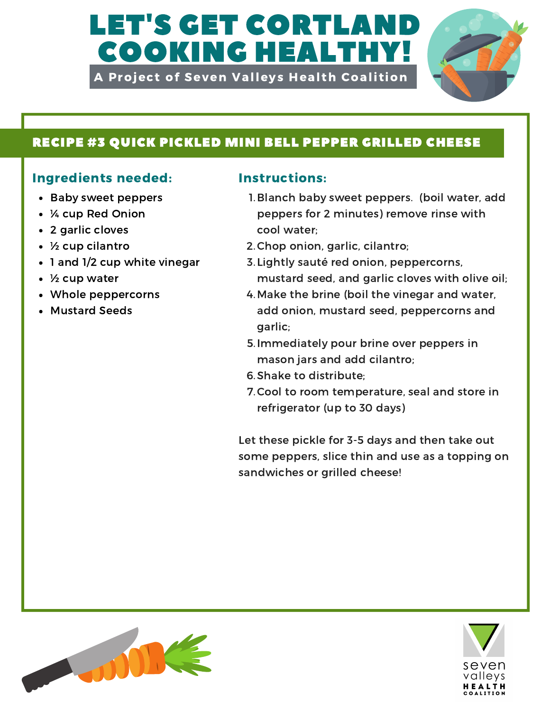# LET'S GET CORTLAI COOKING HEALTHY!

A Project of Seven Valleys Health Coalition



## RECIPE #3 QUICK PICKLED MINI BELL PEPPER GRILLED CHEESE

## Ingredients needed: Instructions:

- Baby sweet peppers
- ¼ cup Red Onion
- 2 garlic cloves
- ½ cup cilantro
- 1 and 1/2 cup white vinegar
- ½ cup water
- Whole peppercorns
- Mustard Seeds

- 1. Blanch baby sweet peppers. (boil water, add peppers for 2 minutes) remove rinse with cool water;
- 2. Chop onion, garlic, cilantro;
- 3. Lightly sauté red onion, peppercorns, mustard seed, and garlic cloves with olive oil;
- 4. Make the brine (boil the vinegar and water, add onion, mustard seed, peppercorns and garlic;
- 5. Immediately pour brine over peppers in mason jars and add cilantro;
- 6. Shake to distribute;
- 7. Cool to room temperature, seal and store in refrigerator (up to 30 days)

Let these pickle for 3-5 days and then take out some peppers, slice thin and use as a topping on sandwiches or grilled cheese!



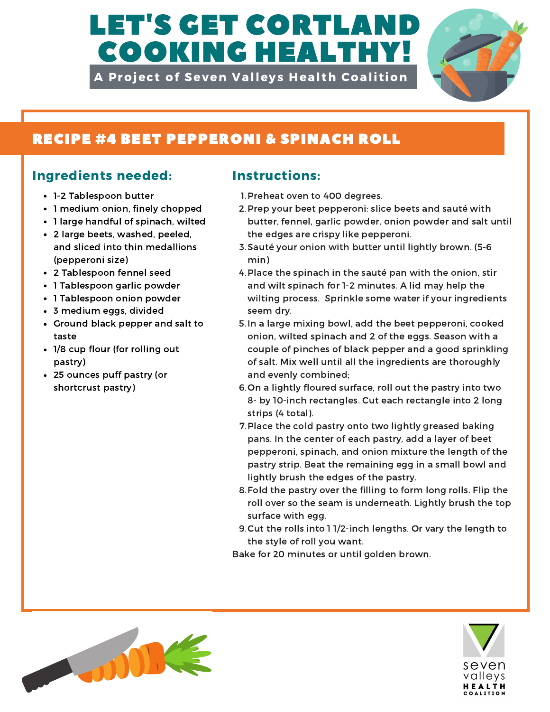# LET'S GET CORTLA COOKING HEALTHY!

A Project of Seven Valleys Health Coalition



# RECIPE #4 BEET PEPPERONI & SPINACH ROLL

### Ingredients needed: Instructions:

- 1-2 Tablespoon butter
- 1 medium onion, finely chopped
- 1 large handful of spinach, wilted
- 2 large beets, washed, peeled, and sliced into thin medallions (pepperoni size)
- 2 Tablespoon fennel seed
- 1 Tablespoon garlic powder
- 1 Tablespoon onion powder
- 3 medium eggs, divided
- Ground black pepper and salt to taste
- 1/8 cup flour (for rolling out pastry)
- 25 ounces puff pastry (or shortcrust pastry)

- 1. Preheat oven to 400 degrees.
- 2. Prep your beet pepperoni: slice beets and sauté with butter, fennel, garlic powder, onion powder and salt until the edges are crispy like pepperoni.
- Sauté your onion with butter until lightly brown. (5-6 3. min)
- 4. Place the spinach in the sauté pan with the onion, stir and wilt spinach for 1-2 minutes. A lid may help the wilting process. Sprinkle some water if your ingredients seem dry.
- 5. In a large mixing bowl, add the beet pepperoni, cooked onion, wilted spinach and 2 of the eggs. Season with a couple of pinches of black pepper and a good sprinkling of salt. Mix well until all the ingredients are thoroughly and evenly combined;
- 6. On a lightly floured surface, roll out the pastry into two 8- by 10-inch rectangles. Cut each rectangle into 2 long strips (4 total).
- 7. Place the cold pastry onto two lightly greased baking pans. In the center of each pastry, add a layer of beet pepperoni, spinach, and onion mixture the length of the pastry strip. Beat the remaining egg in a small bowl and lightly brush the edges of the pastry.
- 8. Fold the pastry over the filling to form long rolls. Flip the roll over so the seam is underneath. Lightly brush the top surface with egg.
- 9. Cut the rolls into 1 1/2-inch lengths. Or vary the length to the style of roll you want.

Bake for 20 minutes or until golden brown.